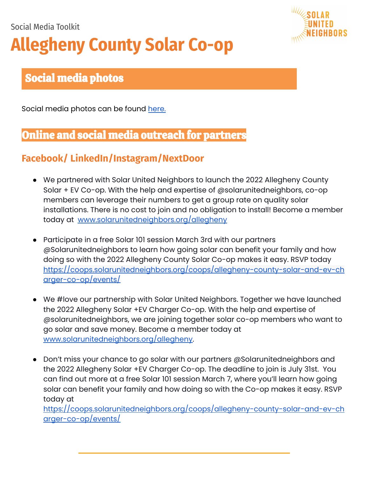# Social Media Toolkit **Allegheny County Solar Co-op**



# Social media photos

Social media photos can be found [here.](https://sun.canto.com/b/KNCC5)

## Online and social media outreach for partners

### **Facebook/ LinkedIn/Instagram/NextDoor**

- We partnered with Solar United Neighbors to launch the 2022 Allegheny County Solar + EV Co-op. With the help and expertise of @solarunitedneighbors, co-op members can leverage their numbers to get a group rate on quality solar installations. There is no cost to join and no obligation to install! Become a member today at [www.solarunitedneighbors.org/allegheny](http://www.solarunitedneighbors.org/allegheny)
- Participate in a free Solar 101 session March 3rd with our partners @Solarunitedneighbors to learn how going solar can benefit your family and how doing so with the 2022 Allegheny County Solar Co-op makes it easy. RSVP today [https://coops.solarunitedneighbors.org/coops/allegheny-county-solar-and-ev-ch](https://coops.solarunitedneighbors.org/coops/allegheny-county-solar-and-ev-charger-co-op/events/) [arger-co-op/events/](https://coops.solarunitedneighbors.org/coops/allegheny-county-solar-and-ev-charger-co-op/events/)
- We #love our partnership with Solar United Neighbors. Together we have launched the 2022 Allegheny Solar +EV Charger Co-op. With the help and expertise of @solarunitedneighbors, we are joining together solar co-op members who want to go solar and save money. Become a member today at [www.solarunitedneighbors.org/allegheny.](http://www.solarunitedneighbors.org/allegheny)
- Don't miss your chance to go solar with our partners @Solarunitedneighbors and the 2022 Allegheny Solar +EV Charger Co-op. The deadline to join is July 31st. You can find out more at a free Solar 101 session March 7, where you'll learn how going solar can benefit your family and how doing so with the Co-op makes it easy. RSVP today at

[https://coops.solarunitedneighbors.org/coops/allegheny-county-solar-and-ev-ch](https://coops.solarunitedneighbors.org/coops/allegheny-county-solar-and-ev-charger-co-op/events/) [arger-co-op/events/](https://coops.solarunitedneighbors.org/coops/allegheny-county-solar-and-ev-charger-co-op/events/)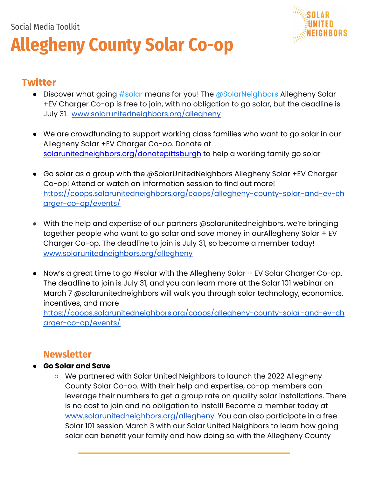# Social Media Toolkit **Allegheny County Solar Co-op**



#### **Twitter**

- Discover what going #solar means for you! The @SolarNeighbors Allegheny Solar +EV Charger Co-op is free to join, with no obligation to go solar, but the deadline is July 31. [www.solarunitedneighbors.org/allegheny](http://www.solarunitedneighbors.org/allegheny)
- We are crowdfunding to support working class families who want to go solar in our Allegheny Solar +EV Charger Co-op. Donate at [solarunitedneighbors.org/donatepittsburgh](http://solarunitedneighbors.org/donatepittsburgh) to help a working family go solar
- Go solar as a group with the @SolarUnitedNeighbors Allegheny Solar +EV Charger Co-op! Attend or watch an information session to find out more! [https://coops.solarunitedneighbors.org/coops/allegheny-county-solar-and-ev-ch](https://coops.solarunitedneighbors.org/coops/allegheny-county-solar-and-ev-charger-co-op/events/) [arger-co-op/events/](https://coops.solarunitedneighbors.org/coops/allegheny-county-solar-and-ev-charger-co-op/events/)
- With the help and expertise of our partners @solarunitedneighbors, we're bringing together people who want to go solar and save money in ourAllegheny Solar + EV Charger Co-op. The deadline to join is July 31, so become a member today! [www.solarunitedneighbors.org/allegheny](http://www.solarunitedneighbors.org/allegheny)
- Now's a great time to go #solar with the Allegheny Solar + EV Solar Charger Co-op. The deadline to join is July 31, and you can learn more at the Solar 101 webinar on March 7 @solarunitedneighbors will walk you through solar technology, economics, incentives, and more

[https://coops.solarunitedneighbors.org/coops/allegheny-county-solar-and-ev-ch](https://coops.solarunitedneighbors.org/coops/allegheny-county-solar-and-ev-charger-co-op/events/) [arger-co-op/events/](https://coops.solarunitedneighbors.org/coops/allegheny-county-solar-and-ev-charger-co-op/events/)

#### **Newsletter**

#### **● Go Solar and Save**

○ We partnered with Solar United Neighbors to launch the 2022 Allegheny County Solar Co-op. With their help and expertise, co-op members can leverage their numbers to get a group rate on quality solar installations. There is no cost to join and no obligation to install! Become a member today at [www.solarunitedneighbors.org/allegheny.](http://www.solarunitedneighbors.org/allegheny) You can also participate in a free Solar 101 session March 3 with our Solar United Neighbors to learn how going solar can benefit your family and how doing so with the Allegheny County